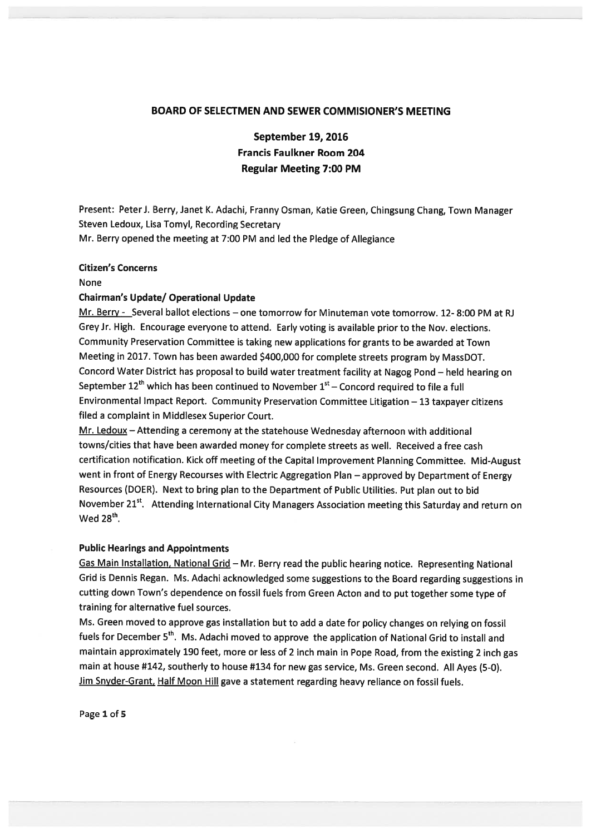## BOARD OF SELECTMEN AND SEWER COMMISIONER'S MEETING

September 19, 2016 Francis Faulkner Room 204 Regular Meeting 7:00 PM

Present: Peter J. Berry, Janet K. Adachi, Franny Osman, Katie Green, Chingsung Chang, Town Manager Steven Ledoux, Lisa Tomyl, Recording Secretary Mr. Berry opened the meeting at 7:00 PM and led the Pledge of Allegiance

#### Citizen's Concerns

#### None

# Chairman's Update/ Operational Update

Mr. Berry - Several ballot elections - one tomorrow for Minuteman vote tomorrow. 12-8:00 PM at RJ Grey Jr. High. Encourage everyone to attend. Early voting is available prior to the Nov. elections. Community Preservation Committee is taking new applications for grants to be awarded at Town Meeting in 2017. Town has been awarded \$400,000 for complete streets program by MassDOT. Concord Water District has proposa<sup>l</sup> to build water treatment facility at Nagog Pond — held hearing on September  $12^{th}$  which has been continued to November  $1^{st}$  – Concord required to file a full Environmental Impact Report. Community Preservation Committee Litigation — <sup>13</sup> taxpayer citizens filed <sup>a</sup> complaint in Middlesex Superior Court.

Mr. Ledoux—Attending <sup>a</sup> ceremony at the statehouse Wednesday afternoon with additional towns/cities that have been awarded money for complete streets as well. Received <sup>a</sup> free cash certification notification. Kick off meeting of the Capital Improvement Planning Committee. Mid-August went in front of Energy Recourses with Electric Aggregation Plan — approve<sup>d</sup> by Department of Energy Resources (DOER). Next to bring <sup>p</sup>lan to the Department of Public Utilities. Put <sup>p</sup>lan out to bid November 21<sup>st</sup>. Attending International City Managers Association meeting this Saturday and return on Wed 28 $^{\sf th}$ 

## Public Hearings and Appointments

Gas Main Installation, National Grid - Mr. Berry read the public hearing notice. Representing National Grid is Dennis Regan. Ms. Adachi acknowledged some suggestions to the Board regarding suggestions in cutting down Town's dependence on fossil fuels from Green Acton and to pu<sup>t</sup> together some type of training for alternative fuel sources.

Ms. Green moved to approve gas installation but to add <sup>a</sup> date for policy changes on relying on fossil fuels for December 5<sup>th</sup>. Ms. Adachi moved to approve the application of National Grid to install and maintain approximately <sup>190</sup> feet, more or less of <sup>2</sup> inch main in Pope Road, from the existing <sup>2</sup> inch gas main at house #142, southerly to house #134 for new gas service, Ms. Green second. All Ayes (5-0). Jim Snyder-Grant, Half Moon Hill gave a statement regarding heavy reliance on fossil fuels.

Page 1 of 5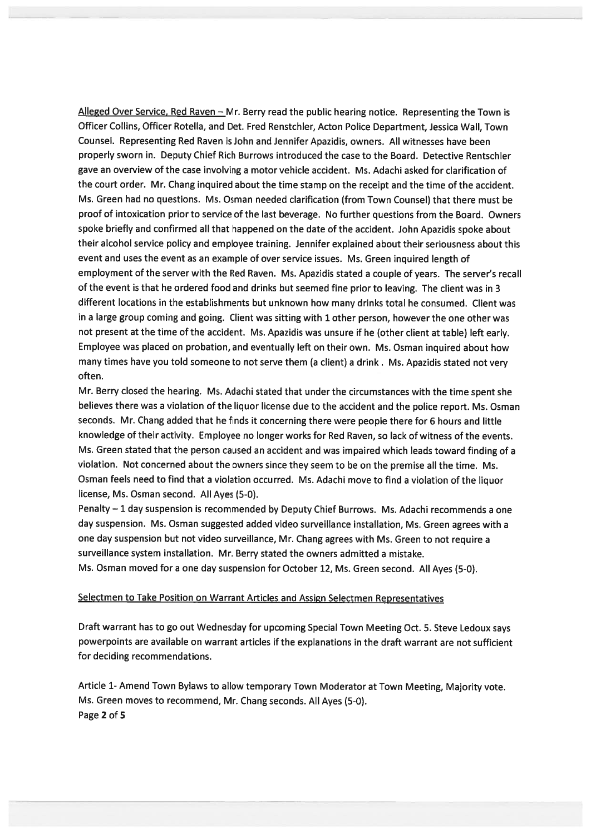Alleged Over Service, Red Raven - Mr. Berry read the public hearing notice. Representing the Town is Officer Collins, Officer Rotella, and Det. Fred Renstchler, Acton Police Department, Jessica Wall, Town Counsel. Representing Red Raven is John and Jennifer Apazidis, owners. All witnesses have been properly sworn in. Deputy Chief Rich Burrows introduced the case to the Board. Detective Rentschler gave an overview of the case involving <sup>a</sup> motor vehicle accident. Ms. Adachi asked for clarification of the court order. Mr. Chang inquired about the time stamp on the receipt and the time of the accident. Ms. Green had no questions. Ms. Osman needed clarification (from Town Counsel) that there must be proo<sup>f</sup> of intoxication prior to service of the last beverage. No further questions from the Board. Owners spoke briefly and confirmed all that happened on the date of the accident. John Apazidis spoke about their alcohol service policy and employee training. Jennifer explained about their seriousness about this event and uses the event as an example of over service issues. Ms. Green inquired length of employment of the server with the Red Raven. Ms. Apazidis stated <sup>a</sup> couple of years. The server's recall of the event is that he ordered food and drinks but seemed fine prior to leaving. The client was in 3 different locations in the establishments but unknown how many drinks total he consumed. Client was in <sup>a</sup> large group coming and going. Client was sitting with <sup>1</sup> other person, however the one other was not presen<sup>t</sup> at the time of the accident. Ms. Apazidis was unsure if he (other client at table) left early. Employee was <sup>p</sup>laced on probation, and eventually left on their own. Ms. Osman inquired about how many times have you told someone to not serve them (a client) <sup>a</sup> drink. Ms. Apazidis stated not very often.

Mr. Berry closed the hearing. Ms. Adachi stated that under the circumstances with the time spen<sup>t</sup> she believes there was <sup>a</sup> violation of the liquor license due to the accident and the police report. Ms. Osman seconds. Mr. Chang added that he finds it concerning there were people there for <sup>6</sup> hours and little knowledge of their activity. Employee no longer works for Red Raven, so lack of witness of the events. Ms. Green stated that the person caused an accident and was impaired which leads toward finding of <sup>a</sup> violation. Not concerned about the owners since they seem to be on the premise all the time. Ms. Osman feels need to find that <sup>a</sup> violation occurred. Ms. Adachi move to find <sup>a</sup> violation of the liquor license, Ms. Osman second. All Ayes (5-0).

Penalty — <sup>1</sup> day suspension is recommended by Deputy Chief Burrows. Ms. Adachi recommends <sup>a</sup> one day suspension. Ms. Osman suggested added video surveillance installation, Ms. Green agrees with <sup>a</sup> one day suspension but not video surveillance, Mr. Chang agrees with Ms. Green to not require <sup>a</sup> surveillance system installation. Mr. Berry stated the owners admitted <sup>a</sup> mistake. Ms. Osman moved for <sup>a</sup> one day suspension for October 12, Ms. Green second. All Ayes (5-0).

### Selectmen to Take Position on Warrant Articles and Assign Selectmen Representatives

Draft warrant has to go out Wednesday for upcoming Special Town Meeting Oct. 5. Steve Ledoux says powerpoints are available on warrant articles if the explanations in the draft warrant are not sufficient for deciding recommendations.

Article 1- Amend Town Bylaws to allow temporary Town Moderator at Town Meeting, Majority vote. Ms. Green moves to recommend, Mr. Chang seconds. All Ayes (5-0). Page 2 of 5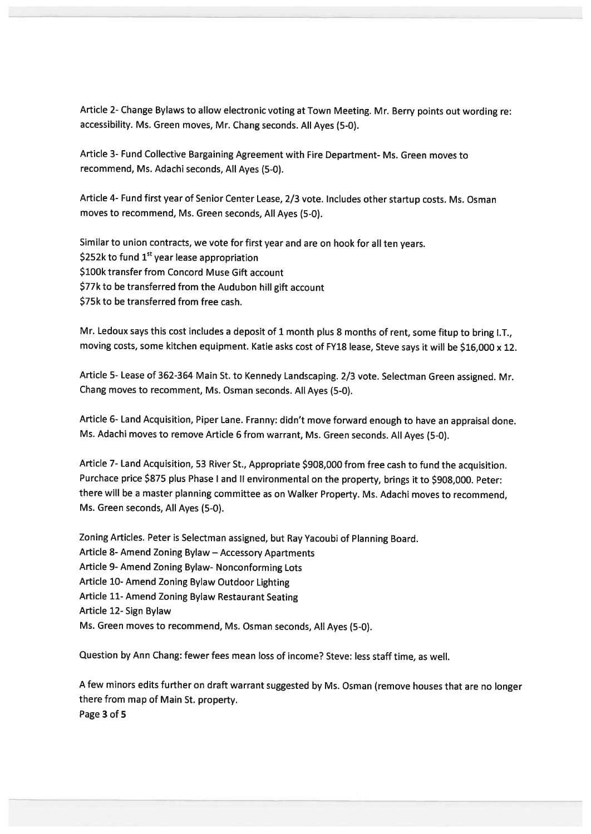Article 2- Change Bylaws to allow electronic voting at Town Meeting. Mr. Berry points out wording re: accessibility. Ms. Green moves, Mr. Chang seconds. All Ayes (5-0).

Article 3- Fund Collective Bargaining Agreement with Fire Department- Ms. Green moves to recommend, Ms. Adachi seconds, All Ayes (5-0).

Article 4- Fund first year of Senior Center Lease, 2/3 vote. Includes other startup costs. Ms. Osman moves to recommend, Ms. Green seconds, All Ayes (5-0).

Similar to union contracts, we vote for first year and are on hook for all ten years. \$252k to fund  $1<sup>st</sup>$  year lease appropriation \$100k transfer from Concord Muse Gift account \$77k to be transferred from the Audubon hill <sup>g</sup>ift account \$75k to be transferred from free cash.

Mr. Ledoux says this cost includes a deposit of 1 month plus 8 months of rent, some fitup to bring I.T.. moving costs, some kitchen equipment. Katie asks cost of FY18 lease, Steve says it will be \$16,000 <sup>x</sup> 12.

Article 5- Lease of 362-364 Main St. to Kennedy Landscaping. 2/3 vote. Selectman Green assigned. Mr. Chang moves to recomment, Ms. Osman seconds. All Ayes (5-0).

Article 6- Land Acquisition, Piper Lane. Franny: didn't move forward enoug<sup>h</sup> to have an appraisal done. Ms. Adachi moves to remove Article <sup>6</sup> from warrant, Ms. Green seconds. All Ayes (5-0).

Article 7- Land Acquisition, <sup>53</sup> River St., Appropriate \$908,000 from free cash to fund the acquisition. Purchace price \$875 <sup>p</sup>lus Phase <sup>I</sup> and II environmental on the property, brings it to \$908,000. Peter: there will be <sup>a</sup> master <sup>p</sup>lanning committee as on Walker Property. Ms. Adachi moves to recommend, Ms. Green seconds, All Ayes (5-0).

Zoning Articles. Peter is Selectman assigned, but Ray Yacoubi of Planning Board. Article 8- Amend Zoning Bylaw — Accessory Apartments Article 9- Amend Zoning Bylaw- Nonconforming Lots Article 10- Amend Zoning Bylaw Outdoor Lighting Article 11- Amend Zoning Bylaw Restaurant Seating Article 12- Sign Bylaw Ms. Green moves to recommend, Ms. Osman seconds, All Ayes (5-0).

Question by Ann Chang: fewer fees mean loss of income? Steve: less staff time, as well.

<sup>A</sup> few minors edits further on draft warrant suggested by Ms. Osman (remove houses that are no longer there from map of Main St. property. Page 3 of 5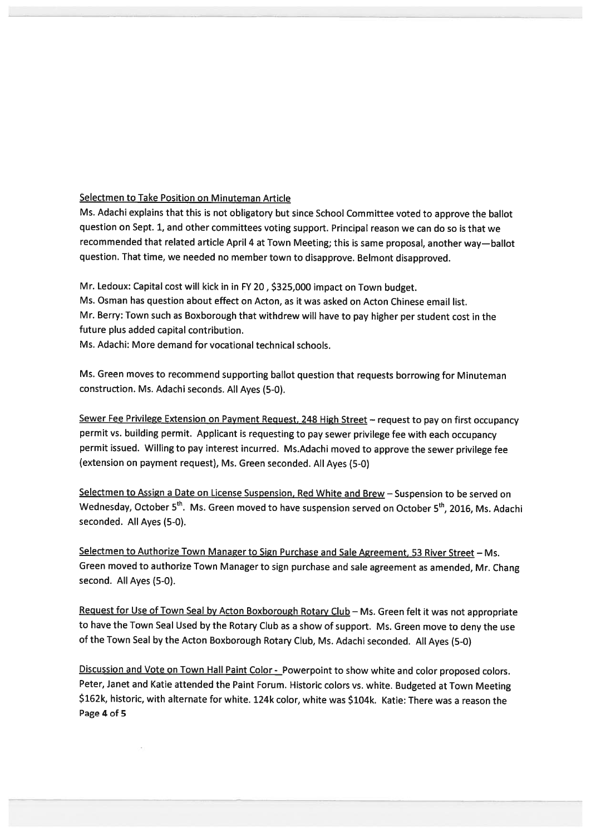# Selectmen to Take Position on Minuteman Article

Ms. Adachi explains that this is not obligatory but since School Committee voted to approve the ballot question on Sept. 1, and other committees voting support. Principal reason we can do so is that we recommended that related article April <sup>4</sup> at Town Meeting; this is same proposal, another way—ballot question. That time, we needed no member town to disapprove. Belmont disapproved.

Mr. Ledoux: Capital cost will kick in in FY 20, \$325,000 impact on Town budget.

Ms. Osman has question about effect on Acton, as it was asked on Acton Chinese email list. Mr. Berry: Town such as Boxborough that withdrew will have to pay higher per student cost in the future plus added capital contribution.

Ms. Adachi: More demand for vocational technical schools.

Ms. Green moves to recommend supporting ballot question that requests borrowing for Minuteman construction. Ms. Adachi seconds. All Ayes (5-0).

Sewer Fee Privilege Extension on Payment Request, 248 High Street - request to pay on first occupancy permit vs. building permit. Applicant is requesting to pay sewer privilege fee with each occupancy permit issued. Willing to pay interest incurred. Ms.Adachi moved to approve the sewer privilege fee (extension on payment request), Ms. Green seconded. All Ayes (5-0)

Selectmen to Assign a Date on License Suspension, Red White and Brew - Suspension to be served on Wednesday, October 5<sup>th</sup>. Ms. Green moved to have suspension served on October 5<sup>th</sup>, 2016, Ms. Adachi seconded. All Ayes (5-0).

Selectmen to Authorize Town Manager to Sign Purchase and Sale Agreement, 53 River Street - Ms. Green moved to authorize Town Manager to sign purchase and sale agreemen<sup>t</sup> as amended, Mr. Chang second. All Ayes (5-0).

Request for Use of Town Seal by Acton Boxborough Rotary Club — Ms. Green felt it was not appropriate to have the Town Seal Used by the Rotary Club as <sup>a</sup> show of support. Ms. Green move to deny the use of the Town Seal by the Acton Boxborough Rotary Club, Ms. Adachi seconded. All Ayes (5-0)

Discussion and Vote on Town Hall Paint Color - Powerpoint to show white and color proposed colors. Peter, Janet and Katie attended the Paint Forum. Historic colors vs. white. Budgeted at Town Meeting \$162k, historic, with alternate for white. 124k color, white was \$104k. Katie: There was <sup>a</sup> reason the Page 4 of 5